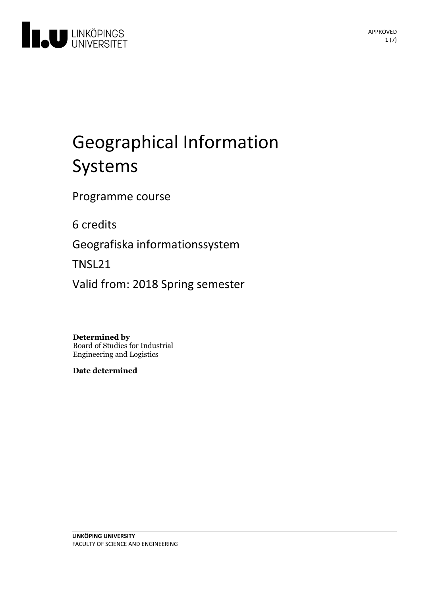

# Geographical Information Systems

Programme course

6 credits

Geografiska informationssystem

TNSL21

Valid from: 2018 Spring semester

**Determined by**

Board of Studies for Industrial Engineering and Logistics

**Date determined**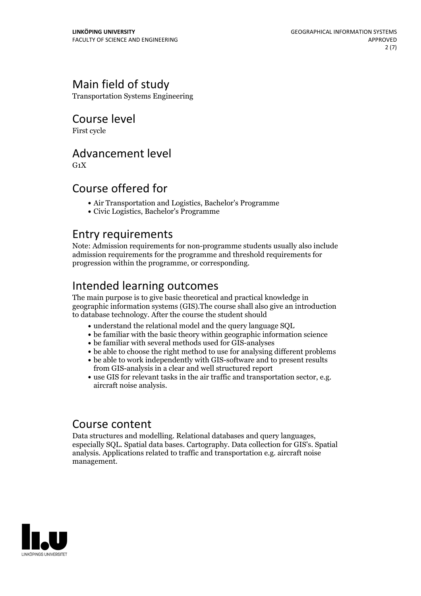## Main field of study

Transportation Systems Engineering

Course level

First cycle

## Advancement level

 $G_1X$ 

## Course offered for

- Air Transportation and Logistics, Bachelor's Programme
- Civic Logistics, Bachelor's Programme

## Entry requirements

Note: Admission requirements for non-programme students usually also include admission requirements for the programme and threshold requirements for progression within the programme, or corresponding.

## Intended learning outcomes

The main purpose is to give basic theoretical and practical knowledge in geographic information systems (GIS).The course shall also give an introduction to database technology. After the course the student should

- understand the relational model and the query language SQL
- be familiar with the basic theory within geographic information science
- be familiar with several methods used for GIS-analyses
- be able to choose the right method to use for analysing different problems
- be able to work independently with GIS-software and to present results from GIS-analysis in a clear and well structured report
- use GIS for relevant tasks in the air traffic and transportation sector, e.g. aircraft noise analysis.

Course content<br>Data structures and modelling. Relational databases and query languages, especially SQL. Spatial data bases. Cartography. Data collection for GIS's. Spatial analysis. Applications related to traffic and transportation e.g. aircraft noise management.

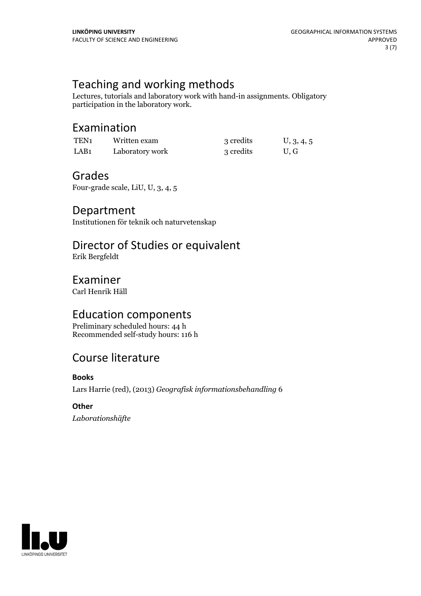## Teaching and working methods

Lectures, tutorials and laboratory work with hand-in assignments. Obligatory participation in the laboratory work.

## Examination

| TEN <sub>1</sub> | Written exam    | 3 credits | U, 3, 4, 5 |
|------------------|-----------------|-----------|------------|
| LAB1             | Laboratory work | 3 credits | U.G        |

## Grades

Four-grade scale, LiU, U, 3, 4, 5

## Department

Institutionen för teknik och naturvetenskap

## Director of Studies or equivalent

Erik Bergfeldt

## Examiner

Carl Henrik Häll

## Education components

Preliminary scheduled hours: 44 h Recommended self-study hours: 116 h

## Course literature

#### **Books**

Lars Harrie (red), (2013) *Geografisk informationsbehandling* 6

#### **Other**

*Laborationshäfte*

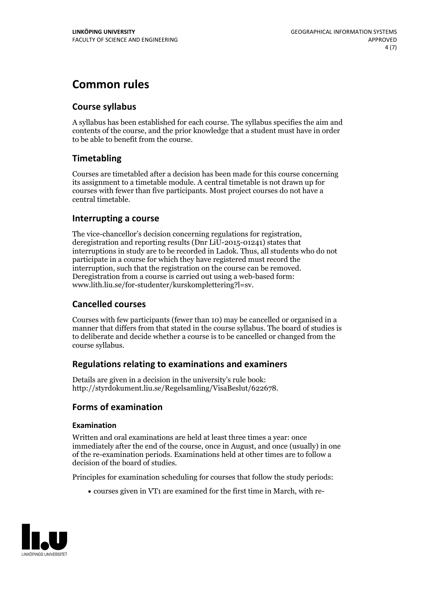## **Common rules**

#### **Course syllabus**

A syllabus has been established for each course. The syllabus specifies the aim and contents of the course, and the prior knowledge that a student must have in order to be able to benefit from the course.

### **Timetabling**

Courses are timetabled after a decision has been made for this course concerning its assignment to a timetable module. A central timetable is not drawn up for courses with fewer than five participants. Most project courses do not have a central timetable.

#### **Interrupting a course**

The vice-chancellor's decision concerning regulations for registration, deregistration and reporting results (Dnr LiU-2015-01241) states that interruptions in study are to be recorded in Ladok. Thus, all students who do not participate in a course for which they have registered must record the interruption, such that the registration on the course can be removed. Deregistration from <sup>a</sup> course is carried outusing <sup>a</sup> web-based form: www.lith.liu.se/for-studenter/kurskomplettering?l=sv.

#### **Cancelled courses**

Courses with few participants (fewer than 10) may be cancelled or organised in a manner that differs from that stated in the course syllabus. The board of studies is to deliberate and decide whether a course is to be cancelled orchanged from the course syllabus.

#### **Regulations relatingto examinations and examiners**

Details are given in a decision in the university's rule book: http://styrdokument.liu.se/Regelsamling/VisaBeslut/622678.

#### **Forms of examination**

#### **Examination**

Written and oral examinations are held at least three times a year: once immediately after the end of the course, once in August, and once (usually) in one of the re-examination periods. Examinations held at other times are to follow a decision of the board of studies.

Principles for examination scheduling for courses that follow the study periods:

courses given in VT1 are examined for the first time in March, with re-

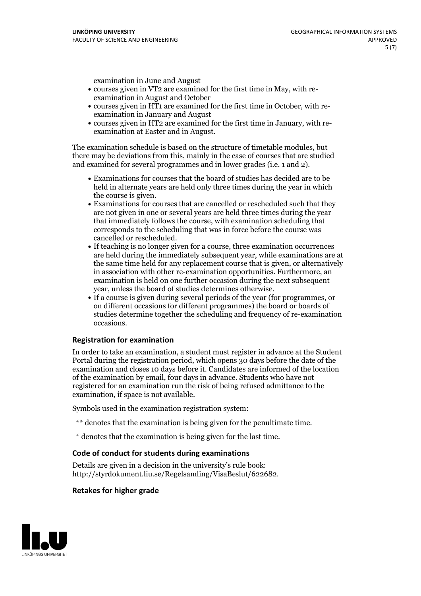examination in June and August

- courses given in VT2 are examined for the first time in May, with re-examination in August and October
- courses given in HT1 are examined for the first time in October, with re-examination in January and August
- courses given in HT2 are examined for the first time in January, with re-examination at Easter and in August.

The examination schedule is based on the structure of timetable modules, but there may be deviations from this, mainly in the case of courses that are studied and examined for several programmes and in lower grades (i.e. 1 and 2).

- Examinations for courses that the board of studies has decided are to be held in alternate years are held only three times during the year in which
- the course is given.<br>• Examinations for courses that are cancelled or rescheduled such that they are not given in one or several years are held three times during the year that immediately follows the course, with examination scheduling that corresponds to the scheduling that was in force before the course was cancelled or rescheduled.<br>• If teaching is no longer given for a course, three examination occurrences
- are held during the immediately subsequent year, while examinations are at the same time held for any replacement course that is given, or alternatively in association with other re-examination opportunities. Furthermore, an examination is held on one further occasion during the next subsequent year, unless the board of studies determines otherwise.<br>• If a course is given during several periods of the year (for programmes, or
- on different occasions for different programmes) the board orboards of studies determine together the scheduling and frequency of re-examination occasions.

#### **Registration for examination**

In order to take an examination, a student must register in advance at the Student Portal during the registration period, which opens 30 days before the date of the examination and closes 10 days before it. Candidates are informed of the location of the examination by email, four days in advance. Students who have not registered for an examination run the risk of being refused admittance to the examination, if space is not available.

Symbols used in the examination registration system:

- \*\* denotes that the examination is being given for the penultimate time.
- \* denotes that the examination is being given for the last time.

#### **Code of conduct for students during examinations**

Details are given in a decision in the university's rule book: http://styrdokument.liu.se/Regelsamling/VisaBeslut/622682.

#### **Retakes for higher grade**

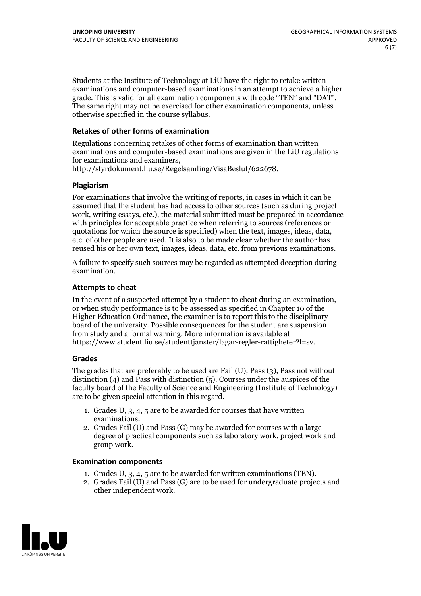Students at the Institute of Technology at LiU have the right to retake written examinations and computer-based examinations in an attempt to achieve a higher grade. This is valid for all examination components with code "TEN" and "DAT". The same right may not be exercised for other examination components, unless otherwise specified in the course syllabus.

#### **Retakes of other forms of examination**

Regulations concerning retakes of other forms of examination than written examinations and computer-based examinations are given in the LiU regulations for examinations and examiners, http://styrdokument.liu.se/Regelsamling/VisaBeslut/622678.

#### **Plagiarism**

For examinations that involve the writing of reports, in cases in which it can be assumed that the student has had access to other sources (such as during project work, writing essays, etc.), the material submitted must be prepared in accordance with principles for acceptable practice when referring to sources (references or quotations for which the source is specified) when the text, images, ideas, data, etc. of other people are used. It is also to be made clear whether the author has reused his or her own text, images, ideas, data, etc. from previous examinations.

A failure to specify such sources may be regarded as attempted deception during examination.

#### **Attempts to cheat**

In the event of <sup>a</sup> suspected attempt by <sup>a</sup> student to cheat during an examination, or when study performance is to be assessed as specified in Chapter <sup>10</sup> of the Higher Education Ordinance, the examiner is to report this to the disciplinary board of the university. Possible consequences for the student are suspension from study and a formal warning. More information is available at https://www.student.liu.se/studenttjanster/lagar-regler-rattigheter?l=sv.

#### **Grades**

The grades that are preferably to be used are Fail (U), Pass (3), Pass not without distinction  $(4)$  and Pass with distinction  $(5)$ . Courses under the auspices of the faculty board of the Faculty of Science and Engineering (Institute of Technology) are to be given special attention in this regard.

- 1. Grades U, 3, 4, 5 are to be awarded for courses that have written
- examinations. 2. Grades Fail (U) and Pass (G) may be awarded for courses with <sup>a</sup> large degree of practical components such as laboratory work, project work and group work.

#### **Examination components**

- 
- 1. Grades U, 3, 4, <sup>5</sup> are to be awarded for written examinations (TEN). 2. Grades Fail (U) and Pass (G) are to be used for undergraduate projects and other independent work.